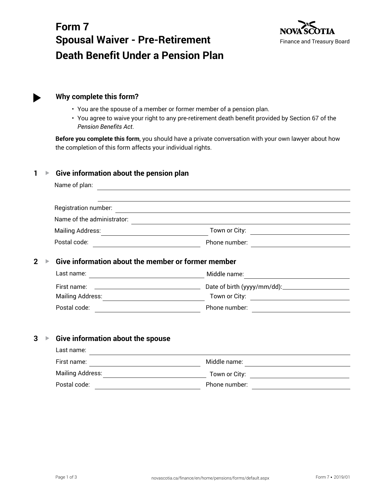# **Form 7 Spousal Waiver - Pre-Retirement Death Benefit Under a Pension Plan**



# **Why complete this form?**

- You are the spouse of a member or former member of a pension plan.
- You agree to waive your right to any pre-retirement death benefit provided by Section 67 of the *Pension Benefits Act*.

**Before you complete this form**, you should have a private conversation with your own lawyer about how the completion of this form affects your individual rights.

# **1 ▶ Give information about the pension plan**

| Name of plan:                                                                      |                                                                                                                                       |
|------------------------------------------------------------------------------------|---------------------------------------------------------------------------------------------------------------------------------------|
| Registration number:                                                               |                                                                                                                                       |
| Name of the administrator:                                                         |                                                                                                                                       |
| Mailing Address:                                                                   | Town or City:<br><u> 1989 - Johann John Stein, markin film yn y brenin y brenin y brenin y brenin y brenin y brenin y brenin y br</u> |
| Postal code:                                                                       | Phone number:                                                                                                                         |
|                                                                                    |                                                                                                                                       |
| Give information about the member or former member<br>$\overline{2}$<br>Last name: | Middle name:                                                                                                                          |
| First name:<br><u> 1980 - Andrea Barbara, poeta esperanto-</u>                     |                                                                                                                                       |
| <b>Mailing Address:</b>                                                            | Town or City: _______________________________                                                                                         |

# **3** ▶ Give information about the spouse

| Last name:       |               |  |
|------------------|---------------|--|
| First name:      | Middle name:  |  |
| Mailing Address: | Town or City: |  |
| Postal code:     | Phone number: |  |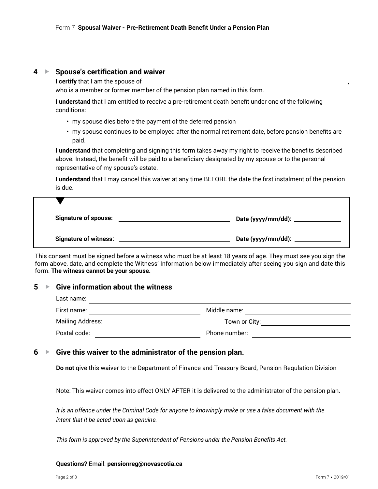## **4** ► Spouse's certification and waiver

**I certify** that I am the spouse of

who is a member or former member of the pension plan named in this form.

**I understand** that I am entitled to receive a pre-retirement death benefit under one of the following conditions:

- my spouse dies before the payment of the deferred pension
- my spouse continues to be employed after the normal retirement date, before pension benefits are paid.

**I understand** that completing and signing this form takes away my right to receive the benefits described above. Instead, the benefit will be paid to a beneficiary designated by my spouse or to the personal representative of my spouse's estate.

**I understand** that I may cancel this waiver at any time BEFORE the date the first instalment of the pension is due.

| <b>Signature of spouse:</b>  |                          |
|------------------------------|--------------------------|
| <b>Signature of witness:</b> | Date (yyyy/mm/dd): _____ |

This consent must be signed before a witness who must be at least 18 years of age. They must see you sign the form above, date, and complete the Witness' Information below immediately after seeing you sign and date this form. **The witness cannot be your spouse.**

## **5** G **Give information about the witness**

| Last name:              |               |
|-------------------------|---------------|
| First name:             | Middle name:  |
| <b>Mailing Address:</b> | Town or City: |
| Postal code:            | Phone number: |

## **6** G **Give this waiver to the administrator of the pension plan.**

**Do not** give this waiver to the Department of Finance and Treasury Board, Pension Regulation Division

Note: This waiver comes into effect ONLY AFTER it is delivered to the administrator of the pension plan.

*It is an offence under the Criminal Code for anyone to knowingly make or use a false document with the intent that it be acted upon as genuine.*

*This form is approved by the Superintendent of Pensions under the Pension Benefits Act.*

#### **Questions?** Email: **pensionreg@novascotia.ca**